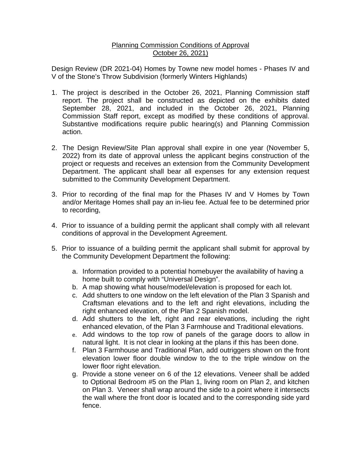## Planning Commission Conditions of Approval October 26, 2021)

Design Review (DR 2021-04) Homes by Towne new model homes - Phases IV and V of the Stone's Throw Subdivision (formerly Winters Highlands)

- 1. The project is described in the October 26, 2021, Planning Commission staff report. The project shall be constructed as depicted on the exhibits dated September 28, 2021, and included in the October 26, 2021, Planning Commission Staff report, except as modified by these conditions of approval. Substantive modifications require public hearing(s) and Planning Commission action.
- 2. The Design Review/Site Plan approval shall expire in one year (November 5, 2022) from its date of approval unless the applicant begins construction of the project or requests and receives an extension from the Community Development Department. The applicant shall bear all expenses for any extension request submitted to the Community Development Department.
- 3. Prior to recording of the final map for the Phases IV and V Homes by Town and/or Meritage Homes shall pay an in-lieu fee. Actual fee to be determined prior to recording,
- 4. Prior to issuance of a building permit the applicant shall comply with all relevant conditions of approval in the Development Agreement.
- 5. Prior to issuance of a building permit the applicant shall submit for approval by the Community Development Department the following:
	- a. Information provided to a potential homebuyer the availability of having a home built to comply with "Universal Design".
	- b. A map showing what house/model/elevation is proposed for each lot.
	- c. Add shutters to one window on the left elevation of the Plan 3 Spanish and Craftsman elevations and to the left and right elevations, including the right enhanced elevation, of the Plan 2 Spanish model.
	- d. Add shutters to the left, right and rear elevations, including the right enhanced elevation, of the Plan 3 Farmhouse and Traditional elevations.
	- e. Add windows to the top row of panels of the garage doors to allow in natural light. It is not clear in looking at the plans if this has been done.
	- f. Plan 3 Farmhouse and Traditional Plan, add outriggers shown on the front elevation lower floor double window to the to the triple window on the lower floor right elevation.
	- g. Provide a stone veneer on 6 of the 12 elevations. Veneer shall be added to Optional Bedroom #5 on the Plan 1, living room on Plan 2, and kitchen on Plan 3. Veneer shall wrap around the side to a point where it intersects the wall where the front door is located and to the corresponding side yard fence.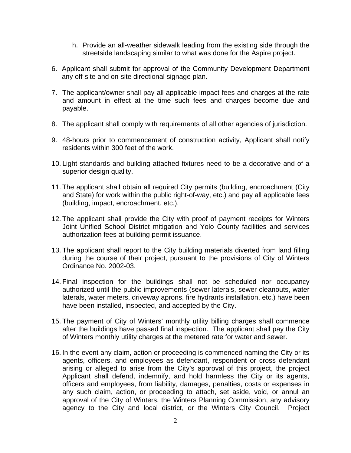- h. Provide an all-weather sidewalk leading from the existing side through the streetside landscaping similar to what was done for the Aspire project.
- 6. Applicant shall submit for approval of the Community Development Department any off-site and on-site directional signage plan.
- 7. The applicant/owner shall pay all applicable impact fees and charges at the rate and amount in effect at the time such fees and charges become due and payable.
- 8. The applicant shall comply with requirements of all other agencies of jurisdiction.
- 9. 48-hours prior to commencement of construction activity, Applicant shall notify residents within 300 feet of the work.
- 10. Light standards and building attached fixtures need to be a decorative and of a superior design quality.
- 11. The applicant shall obtain all required City permits (building, encroachment (City and State) for work within the public right-of-way, etc.) and pay all applicable fees (building, impact, encroachment, etc.).
- 12. The applicant shall provide the City with proof of payment receipts for Winters Joint Unified School District mitigation and Yolo County facilities and services authorization fees at building permit issuance.
- 13. The applicant shall report to the City building materials diverted from land filling during the course of their project, pursuant to the provisions of City of Winters Ordinance No. 2002-03.
- 14. Final inspection for the buildings shall not be scheduled nor occupancy authorized until the public improvements (sewer laterals, sewer cleanouts, water laterals, water meters, driveway aprons, fire hydrants installation, etc.) have been have been installed, inspected, and accepted by the City.
- 15. The payment of City of Winters' monthly utility billing charges shall commence after the buildings have passed final inspection. The applicant shall pay the City of Winters monthly utility charges at the metered rate for water and sewer.
- 16. In the event any claim, action or proceeding is commenced naming the City or its agents, officers, and employees as defendant, respondent or cross defendant arising or alleged to arise from the City's approval of this project, the project Applicant shall defend, indemnify, and hold harmless the City or its agents, officers and employees, from liability, damages, penalties, costs or expenses in any such claim, action, or proceeding to attach, set aside, void, or annul an approval of the City of Winters, the Winters Planning Commission, any advisory agency to the City and local district, or the Winters City Council. Project